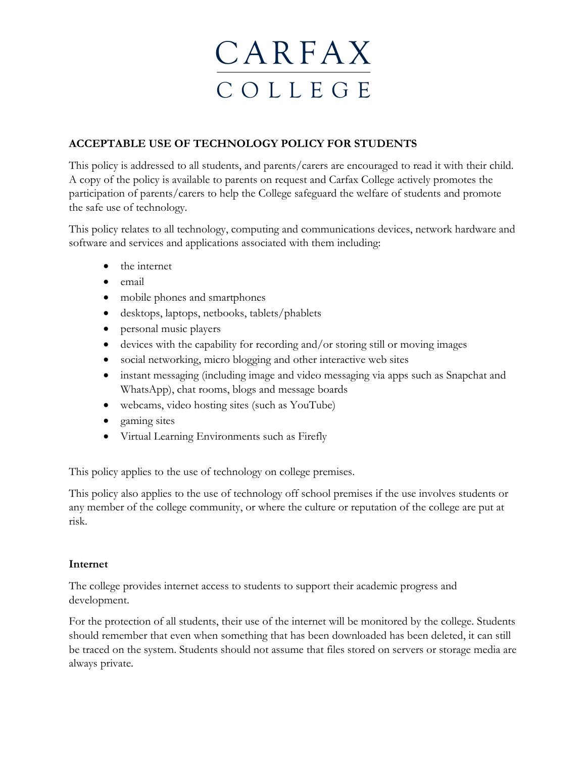## **ACCEPTABLE USE OF TECHNOLOGY POLICY FOR STUDENTS**

This policy is addressed to all students, and parents/carers are encouraged to read it with their child. A copy of the policy is available to parents on request and Carfax College actively promotes the participation of parents/carers to help the College safeguard the welfare of students and promote the safe use of technology.

This policy relates to all technology, computing and communications devices, network hardware and software and services and applications associated with them including:

- the internet
- email
- mobile phones and smartphones
- desktops, laptops, netbooks, tablets/phablets
- personal music players
- devices with the capability for recording and/or storing still or moving images
- social networking, micro blogging and other interactive web sites
- instant messaging (including image and video messaging via apps such as Snapchat and WhatsApp), chat rooms, blogs and message boards
- webcams, video hosting sites (such as YouTube)
- gaming sites
- Virtual Learning Environments such as Firefly

This policy applies to the use of technology on college premises.

This policy also applies to the use of technology off school premises if the use involves students or any member of the college community, or where the culture or reputation of the college are put at risk.

### **Internet**

The college provides internet access to students to support their academic progress and development.

For the protection of all students, their use of the internet will be monitored by the college. Students should remember that even when something that has been downloaded has been deleted, it can still be traced on the system. Students should not assume that files stored on servers or storage media are always private.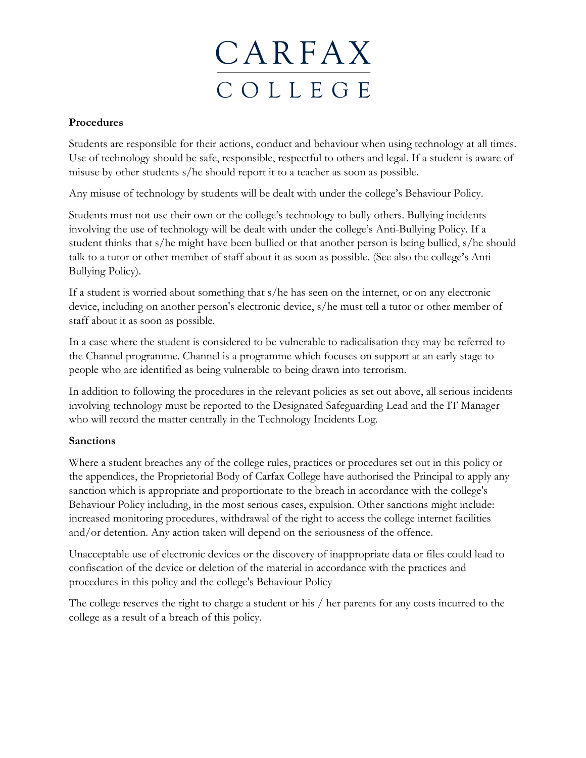

### **Procedures**

Students are responsible for their actions, conduct and behaviour when using technology at all times. Use of technology should be safe, responsible, respectful to others and legal. If a student is aware of misuse by other students s/he should report it to a teacher as soon as possible.

Any misuse of technology by students will be dealt with under the college's Behaviour Policy.

Students must not use their own or the college's technology to bully others. Bullying incidents involving the use of technology will be dealt with under the college's Anti-Bullying Policy. If a student thinks that s/he might have been bullied or that another person is being bullied, s/he should talk to a tutor or other member of staff about it as soon as possible. (See also the college's Anti-Bullying Policy).

If a student is worried about something that s/he has seen on the internet, or on any electronic device, including on another person's electronic device, s/he must tell a tutor or other member of staff about it as soon as possible.

In a case where the student is considered to be vulnerable to radicalisation they may be referred to the Channel programme. Channel is a programme which focuses on support at an early stage to people who are identified as being vulnerable to being drawn into terrorism.

In addition to following the procedures in the relevant policies as set out above, all serious incidents involving technology must be reported to the Designated Safeguarding Lead and the IT Manager who will record the matter centrally in the Technology Incidents Log.

## **Sanctions**

Where a student breaches any of the college rules, practices or procedures set out in this policy or the appendices, the Proprietorial Body of Carfax College have authorised the Principal to apply any sanction which is appropriate and proportionate to the breach in accordance with the college's Behaviour Policy including, in the most serious cases, expulsion. Other sanctions might include: increased monitoring procedures, withdrawal of the right to access the college internet facilities and/or detention. Any action taken will depend on the seriousness of the offence.

Unacceptable use of electronic devices or the discovery of inappropriate data or files could lead to confiscation of the device or deletion of the material in accordance with the practices and procedures in this policy and the college's Behaviour Policy

The college reserves the right to charge a student or his / her parents for any costs incurred to the college as a result of a breach of this policy.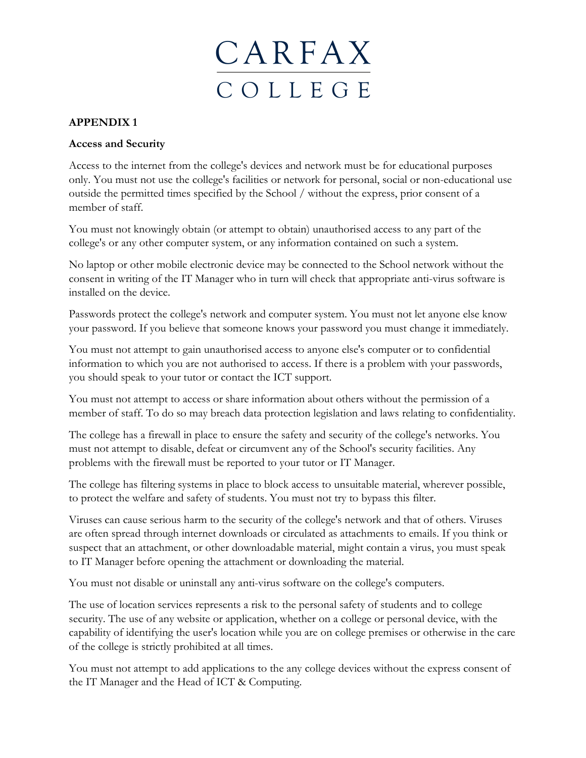

## **APPENDIX 1**

#### **Access and Security**

Access to the internet from the college's devices and network must be for educational purposes only. You must not use the college's facilities or network for personal, social or non-educational use outside the permitted times specified by the School / without the express, prior consent of a member of staff.

You must not knowingly obtain (or attempt to obtain) unauthorised access to any part of the college's or any other computer system, or any information contained on such a system.

No laptop or other mobile electronic device may be connected to the School network without the consent in writing of the IT Manager who in turn will check that appropriate anti-virus software is installed on the device.

Passwords protect the college's network and computer system. You must not let anyone else know your password. If you believe that someone knows your password you must change it immediately.

You must not attempt to gain unauthorised access to anyone else's computer or to confidential information to which you are not authorised to access. If there is a problem with your passwords, you should speak to your tutor or contact the ICT support.

You must not attempt to access or share information about others without the permission of a member of staff. To do so may breach data protection legislation and laws relating to confidentiality.

The college has a firewall in place to ensure the safety and security of the college's networks. You must not attempt to disable, defeat or circumvent any of the School's security facilities. Any problems with the firewall must be reported to your tutor or IT Manager.

The college has filtering systems in place to block access to unsuitable material, wherever possible, to protect the welfare and safety of students. You must not try to bypass this filter.

Viruses can cause serious harm to the security of the college's network and that of others. Viruses are often spread through internet downloads or circulated as attachments to emails. If you think or suspect that an attachment, or other downloadable material, might contain a virus, you must speak to IT Manager before opening the attachment or downloading the material.

You must not disable or uninstall any anti-virus software on the college's computers.

The use of location services represents a risk to the personal safety of students and to college security. The use of any website or application, whether on a college or personal device, with the capability of identifying the user's location while you are on college premises or otherwise in the care of the college is strictly prohibited at all times.

You must not attempt to add applications to the any college devices without the express consent of the IT Manager and the Head of ICT & Computing.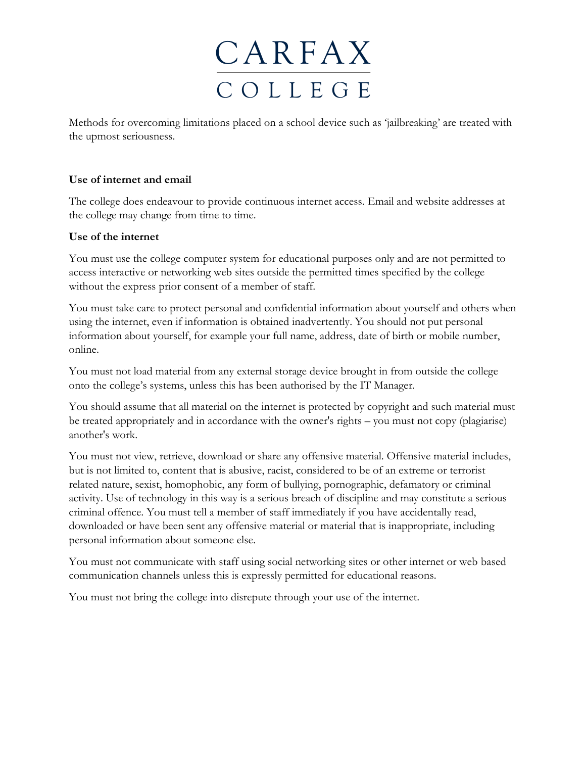Methods for overcoming limitations placed on a school device such as 'jailbreaking' are treated with the upmost seriousness.

## **Use of internet and email**

The college does endeavour to provide continuous internet access. Email and website addresses at the college may change from time to time.

### **Use of the internet**

You must use the college computer system for educational purposes only and are not permitted to access interactive or networking web sites outside the permitted times specified by the college without the express prior consent of a member of staff.

You must take care to protect personal and confidential information about yourself and others when using the internet, even if information is obtained inadvertently. You should not put personal information about yourself, for example your full name, address, date of birth or mobile number, online.

You must not load material from any external storage device brought in from outside the college onto the college's systems, unless this has been authorised by the IT Manager.

You should assume that all material on the internet is protected by copyright and such material must be treated appropriately and in accordance with the owner's rights – you must not copy (plagiarise) another's work.

You must not view, retrieve, download or share any offensive material. Offensive material includes, but is not limited to, content that is abusive, racist, considered to be of an extreme or terrorist related nature, sexist, homophobic, any form of bullying, pornographic, defamatory or criminal activity. Use of technology in this way is a serious breach of discipline and may constitute a serious criminal offence. You must tell a member of staff immediately if you have accidentally read, downloaded or have been sent any offensive material or material that is inappropriate, including personal information about someone else.

You must not communicate with staff using social networking sites or other internet or web based communication channels unless this is expressly permitted for educational reasons.

You must not bring the college into disrepute through your use of the internet.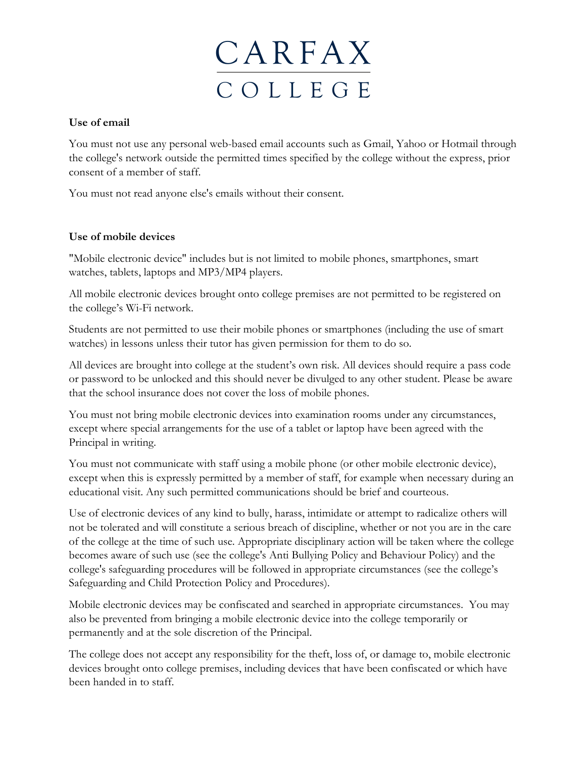

### **Use of email**

You must not use any personal web-based email accounts such as Gmail, Yahoo or Hotmail through the college's network outside the permitted times specified by the college without the express, prior consent of a member of staff.

You must not read anyone else's emails without their consent.

## **Use of mobile devices**

"Mobile electronic device" includes but is not limited to mobile phones, smartphones, smart watches, tablets, laptops and MP3/MP4 players.

All mobile electronic devices brought onto college premises are not permitted to be registered on the college's Wi-Fi network.

Students are not permitted to use their mobile phones or smartphones (including the use of smart watches) in lessons unless their tutor has given permission for them to do so.

All devices are brought into college at the student's own risk. All devices should require a pass code or password to be unlocked and this should never be divulged to any other student. Please be aware that the school insurance does not cover the loss of mobile phones.

You must not bring mobile electronic devices into examination rooms under any circumstances, except where special arrangements for the use of a tablet or laptop have been agreed with the Principal in writing.

You must not communicate with staff using a mobile phone (or other mobile electronic device), except when this is expressly permitted by a member of staff, for example when necessary during an educational visit. Any such permitted communications should be brief and courteous.

Use of electronic devices of any kind to bully, harass, intimidate or attempt to radicalize others will not be tolerated and will constitute a serious breach of discipline, whether or not you are in the care of the college at the time of such use. Appropriate disciplinary action will be taken where the college becomes aware of such use (see the college's Anti Bullying Policy and Behaviour Policy) and the college's safeguarding procedures will be followed in appropriate circumstances (see the college's Safeguarding and Child Protection Policy and Procedures).

Mobile electronic devices may be confiscated and searched in appropriate circumstances. You may also be prevented from bringing a mobile electronic device into the college temporarily or permanently and at the sole discretion of the Principal.

The college does not accept any responsibility for the theft, loss of, or damage to, mobile electronic devices brought onto college premises, including devices that have been confiscated or which have been handed in to staff.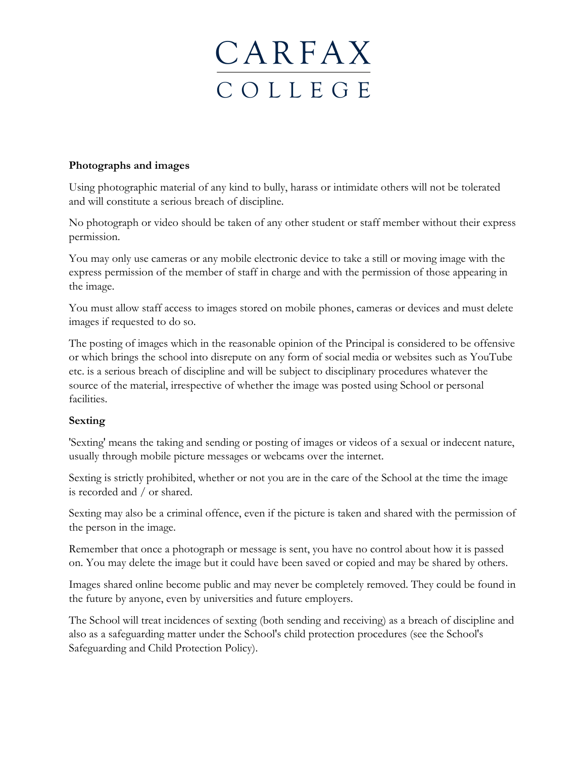#### **Photographs and images**

Using photographic material of any kind to bully, harass or intimidate others will not be tolerated and will constitute a serious breach of discipline.

No photograph or video should be taken of any other student or staff member without their express permission.

You may only use cameras or any mobile electronic device to take a still or moving image with the express permission of the member of staff in charge and with the permission of those appearing in the image.

You must allow staff access to images stored on mobile phones, cameras or devices and must delete images if requested to do so.

The posting of images which in the reasonable opinion of the Principal is considered to be offensive or which brings the school into disrepute on any form of social media or websites such as YouTube etc. is a serious breach of discipline and will be subject to disciplinary procedures whatever the source of the material, irrespective of whether the image was posted using School or personal facilities.

### **Sexting**

'Sexting' means the taking and sending or posting of images or videos of a sexual or indecent nature, usually through mobile picture messages or webcams over the internet.

Sexting is strictly prohibited, whether or not you are in the care of the School at the time the image is recorded and / or shared.

Sexting may also be a criminal offence, even if the picture is taken and shared with the permission of the person in the image.

Remember that once a photograph or message is sent, you have no control about how it is passed on. You may delete the image but it could have been saved or copied and may be shared by others.

Images shared online become public and may never be completely removed. They could be found in the future by anyone, even by universities and future employers.

The School will treat incidences of sexting (both sending and receiving) as a breach of discipline and also as a safeguarding matter under the School's child protection procedures (see the School's Safeguarding and Child Protection Policy).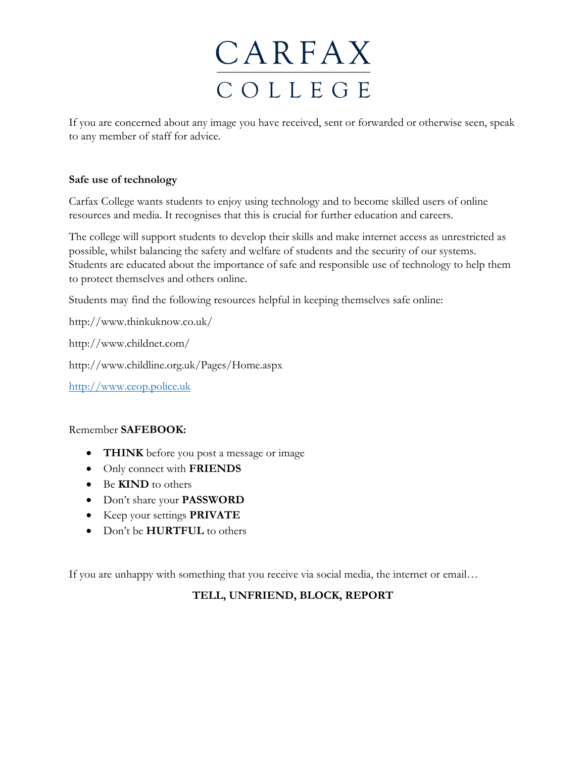If you are concerned about any image you have received, sent or forwarded or otherwise seen, speak to any member of staff for advice.

## **Safe use of technology**

Carfax College wants students to enjoy using technology and to become skilled users of online resources and media. It recognises that this is crucial for further education and careers.

The college will support students to develop their skills and make internet access as unrestricted as possible, whilst balancing the safety and welfare of students and the security of our systems. Students are educated about the importance of safe and responsible use of technology to help them to protect themselves and others online.

Students may find the following resources helpful in keeping themselves safe online:

http://www.thinkuknow.co.uk/

http://www.childnet.com/

http://www.childline.org.uk/Pages/Home.aspx

[http://www.ceop.police.uk](http://www.ceop.police.uk/)

### Remember **SAFEBOOK:**

- **THINK** before you post a message or image
- Only connect with **FRIENDS**
- Be **KIND** to others
- Don't share your **PASSWORD**
- Keep your settings **PRIVATE**
- Don't be **HURTFUL** to others

If you are unhappy with something that you receive via social media, the internet or email…

## **TELL, UNFRIEND, BLOCK, REPORT**